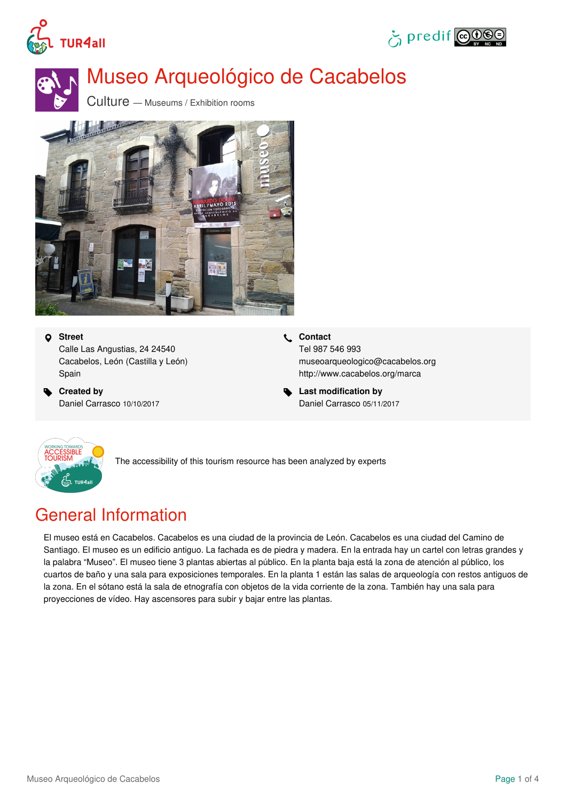





# Museo Arqueológico de Cacabelos

Culture — Museums / Exhibition rooms



#### **Street**

Calle Las Angustias, 24 24540 Cacabelos, León (Castilla y León) Spain

 **Created by** Daniel Carrasco 10/10/2017  **Contact** Tel 987 546 993 museoarqueologico@cacabelos.org <http://www.cacabelos.org/marca>

 **Last modification by** Daniel Carrasco 05/11/2017



The accessibility of this tourism resource has been analyzed by experts

### General Information

El museo está en Cacabelos. Cacabelos es una ciudad de la provincia de León. Cacabelos es una ciudad del Camino de Santiago. El museo es un edificio antiguo. La fachada es de piedra y madera. En la entrada hay un cartel con letras grandes y la palabra "Museo". El museo tiene 3 plantas abiertas al público. En la planta baja está la zona de atención al público, los cuartos de baño y una sala para exposiciones temporales. En la planta 1 están las salas de arqueología con restos antiguos de la zona. En el sótano está la sala de etnografía con objetos de la vida corriente de la zona. También hay una sala para proyecciones de vídeo. Hay ascensores para subir y bajar entre las plantas.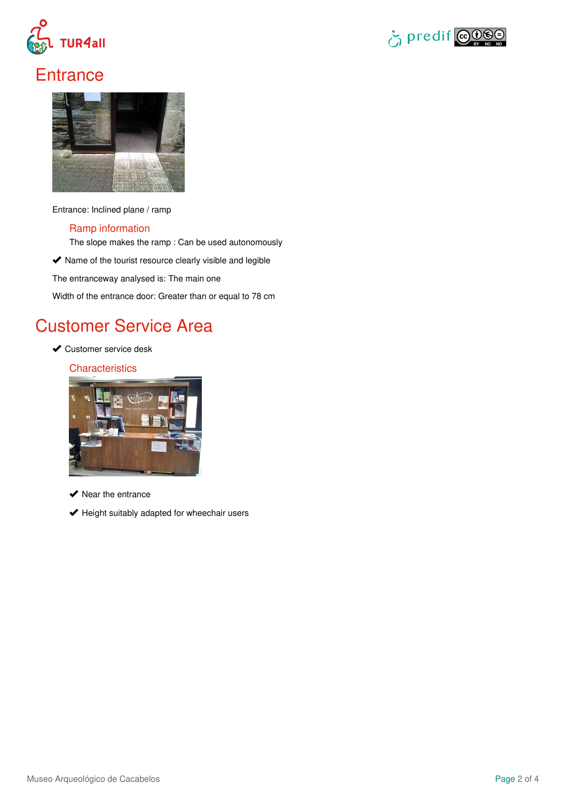



### **Entrance**



Entrance: Inclined plane / ramp

#### Ramp information

The slope makes the ramp : Can be used autonomously

 $\blacktriangleright$  Name of the tourist resource clearly visible and legible

The entranceway analysed is: The main one

Width of the entrance door: Greater than or equal to 78 cm

### Customer Service Area

**◆ Customer service desk** 

#### **Characteristics**



 $\blacktriangleright$  Near the entrance

 $\blacktriangleright$  Height suitably adapted for wheechair users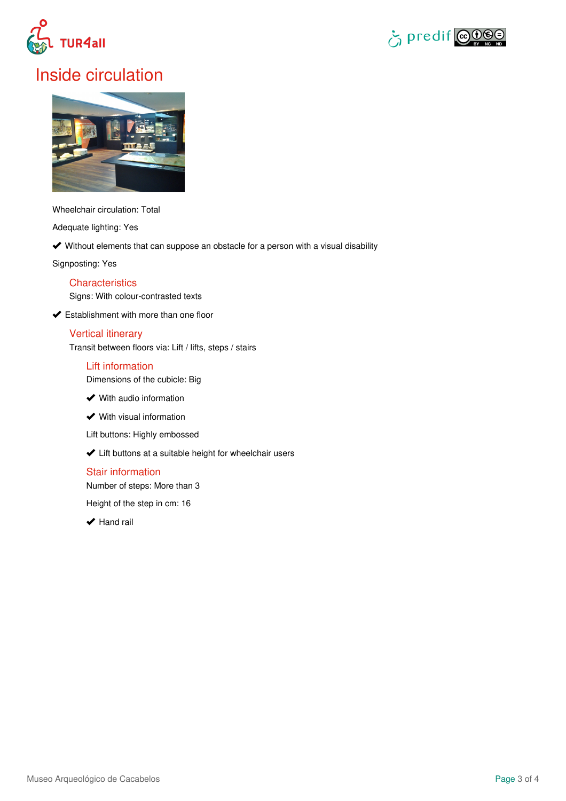



## Inside circulation



Wheelchair circulation: Total

Adequate lighting: Yes

Without elements that can suppose an obstacle for a person with a visual disability

Signposting: Yes

#### **Characteristics**

Signs: With colour-contrasted texts

**◆ Establishment with more than one floor** 

#### Vertical itinerary

Transit between floors via: Lift / lifts, steps / stairs

#### Lift information

Dimensions of the cubicle: Big

- **◆** With audio information
- **◆** With visual information

Lift buttons: Highly embossed

Lift buttons at a suitable height for wheelchair users

#### Stair information

Number of steps: More than 3

Height of the step in cm: 16

 $\blacktriangleright$  Hand rail